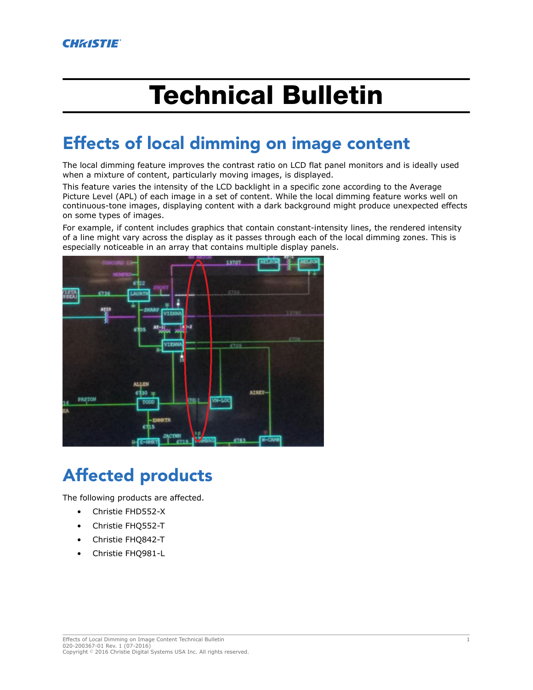# Technical Bulletin

## Effects of local dimming on image content

The local dimming feature improves the contrast ratio on LCD flat panel monitors and is ideally used when a mixture of content, particularly moving images, is displayed.

This feature varies the intensity of the LCD backlight in a specific zone according to the Average Picture Level (APL) of each image in a set of content. While the local dimming feature works well on continuous-tone images, displaying content with a dark background might produce unexpected effects on some types of images.

For example, if content includes graphics that contain constant-intensity lines, the rendered intensity of a line might vary across the display as it passes through each of the local dimming zones. This is especially noticeable in an array that contains multiple display panels.



# Affected products

The following products are affected.

- Christie FHD552-X
- Christie FHQ552-T
- Christie FHQ842-T
- Christie FHQ981-L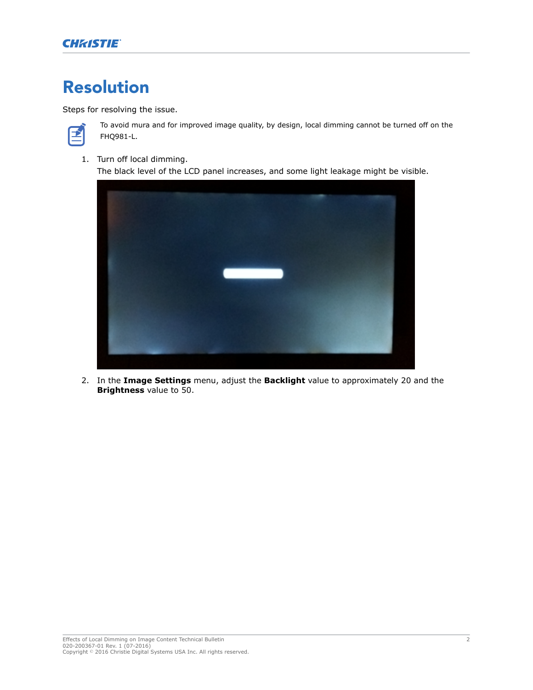### Resolution

Steps for resolving the issue.



To avoid mura and for improved image quality, by design, local dimming cannot be turned off on the FHQ981-L.

1. Turn off local dimming.

The black level of the LCD panel increases, and some light leakage might be visible.



2. In the **Image Settings** menu, adjust the **Backlight** value to approximately 20 and the **Brightness** value to 50.